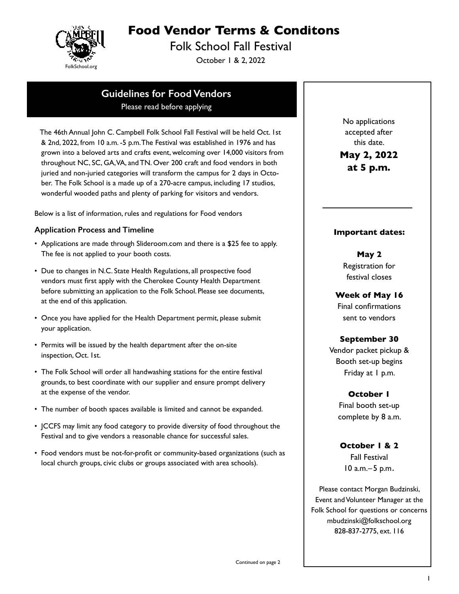

# **Food Vendor Terms & Conditons**

Folk School Fall Festival

October 1 & 2, 2022

# **Guidelines for Food Vendors**

Please read before applying

 The 46th Annual John C. Campbell Folk School Fall Festival will be held Oct. 1st & 2nd, 2022, from 10 a.m. -5 p.m. The Festival was established in 1976 and has grown into a beloved arts and crafts event, welcoming over 14,000 visitors from throughout NC, SC, GA, VA, and TN. Over 200 craft and food vendors in both juried and non-juried categories will transform the campus for 2 days in October. The Folk School is a made up of a 270-acre campus, including 17 studios, wonderful wooded paths and plenty of parking for visitors and vendors.

Below is a list of information, rules and regulations for Food vendors

### **Application Process and Timeline**

- Applications are made through Slideroom.com and there is a \$25 fee to apply. The fee is not applied to your booth costs.
- Due to changes in N.C. State Health Regulations, all prospective food vendors must first apply with the Cherokee County Health Department before submitting an application to the Folk School. Please see documents, at the end of this application.
- Once you have applied for the Health Department permit, please submit your application.
- Permits will be issued by the health department after the on-site inspection, Oct. 1st.
- The Folk School will order all handwashing stations for the entire festival grounds, to best coordinate with our supplier and ensure prompt delivery at the expense of the vendor.
- The number of booth spaces available is limited and cannot be expanded.
- JCCFS may limit any food category to provide diversity of food throughout the Festival and to give vendors a reasonable chance for successful sales.
- Food vendors must be not-for-profit or community-based organizations (such as local church groups, civic clubs or groups associated with area schools).

No applications accepted after this date.

**May 2, 2022 at 5 p.m.**

### **Important dates:**

**May 2**  Registration for festival closes

**Week of May 16** Final confirmations sent to vendors

# **September 30**

Vendor packet pickup & Booth set-up begins Friday at 1 p.m.

# **October 1**

Final booth set-up complete by 8 a.m.

**October 1 & 2** Fall Festival 10 a.m.–5 p.m.

Please contact Morgan Budzinski, Event and Volunteer Manager at the Folk School for questions or concerns mbudzinski@folkschool.org 828-837-2775, ext. 116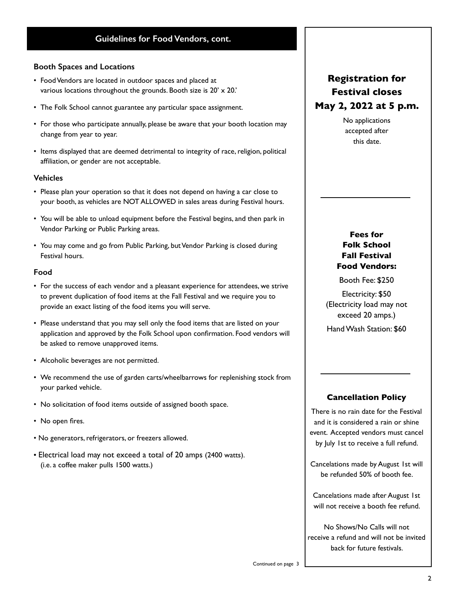# **Guidelines for Food Vendors, cont.**

### **Booth Spaces and Locations**

- Food Vendors are located in outdoor spaces and placed at various locations throughout the grounds. Booth size is 20' x 20.'
- The Folk School cannot guarantee any particular space assignment.
- For those who participate annually, please be aware that your booth location may change from year to year.
- Items displayed that are deemed detrimental to integrity of race, religion, political affiliation, or gender are not acceptable.

### **Vehicles**

- Please plan your operation so that it does not depend on having a car close to your booth, as vehicles are NOT ALLOWED in sales areas during Festival hours.
- You will be able to unload equipment before the Festival begins, and then park in Vendor Parking or Public Parking areas.
- You may come and go from Public Parking, but Vendor Parking is closed during Festival hours.

### **Food**

- For the success of each vendor and a pleasant experience for attendees, we strive to prevent duplication of food items at the Fall Festival and we require you to provide an exact listing of the food items you will serve.
- Please understand that you may sell only the food items that are listed on your application and approved by the Folk School upon confirmation. Food vendors will be asked to remove unapproved items.
- Alcoholic beverages are not permitted.
- We recommend the use of garden carts/wheelbarrows for replenishing stock from your parked vehicle.
- No solicitation of food items outside of assigned booth space.
- No open fires.
- No generators, refrigerators, or freezers allowed.
- Electrical load may not exceed a total of 20 amps (2400 watts). (i.e. a coffee maker pulls 1500 watts.)

# **Registration for Festival closes May 2, 2022 at 5 p.m.**

No applications accepted after this date.

# **Fees for Folk School Fall Festival Food Vendors:**

Booth Fee: \$250

Electricity: \$50 (Electricity load may not exceed 20 amps.) Hand Wash Station: \$60

### **Cancellation Policy**

There is no rain date for the Festival and it is considered a rain or shine event. Accepted vendors must cancel by July 1st to receive a full refund.

Cancelations made by August 1st will be refunded 50% of booth fee.

Cancelations made after August 1st will not receive a booth fee refund.

No Shows/No Calls will not receive a refund and will not be invited back for future festivals.